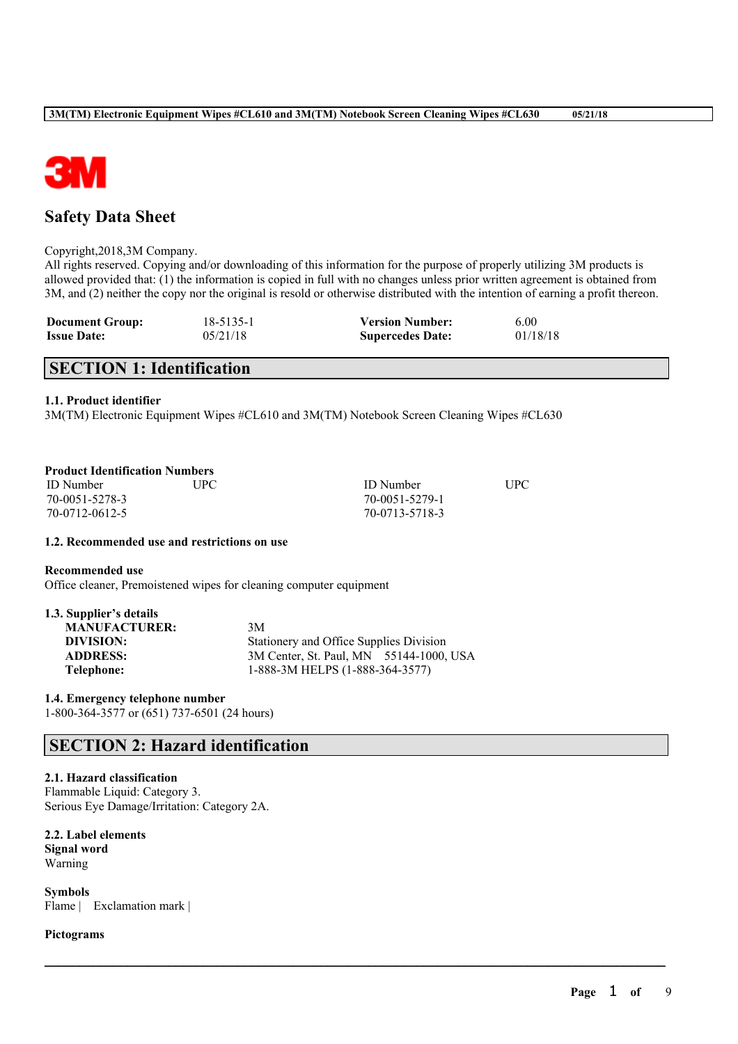

# **Safety Data Sheet**

### Copyright,2018,3M Company.

All rights reserved. Copying and/or downloading of this information for the purpose of properly utilizing 3M products is allowed provided that: (1) the information is copied in full with no changes unless prior written agreement is obtained from 3M, and (2) neither the copy nor the original is resold or otherwise distributed with the intention of earning a profit thereon.

 $\mathcal{L}_\mathcal{L} = \mathcal{L}_\mathcal{L} = \mathcal{L}_\mathcal{L} = \mathcal{L}_\mathcal{L} = \mathcal{L}_\mathcal{L} = \mathcal{L}_\mathcal{L} = \mathcal{L}_\mathcal{L} = \mathcal{L}_\mathcal{L} = \mathcal{L}_\mathcal{L} = \mathcal{L}_\mathcal{L} = \mathcal{L}_\mathcal{L} = \mathcal{L}_\mathcal{L} = \mathcal{L}_\mathcal{L} = \mathcal{L}_\mathcal{L} = \mathcal{L}_\mathcal{L} = \mathcal{L}_\mathcal{L} = \mathcal{L}_\mathcal{L}$ 

| <b>Document Group:</b> | 18-5135-1 | <b>Version Number:</b>  | 6.00     |
|------------------------|-----------|-------------------------|----------|
| <b>Issue Date:</b>     | 05/21/18  | <b>Supercedes Date:</b> | 01/18/18 |

# **SECTION 1: Identification**

### **1.1. Product identifier**

3M(TM) Electronic Equipment Wipes #CL610 and 3M(TM) Notebook Screen Cleaning Wipes #CL630

| <b>Product Identification Numbers</b> |  |
|---------------------------------------|--|
|---------------------------------------|--|

ID Number UPC ID Number UPC 70-0051-5278-3 70-0051-5279-1 70-0712-0612-5 70-0713-5718-3

#### **1.2. Recommended use and restrictions on use**

**Recommended use**

Office cleaner, Premoistened wipes for cleaning computer equipment

**1.3. Supplier's details MANUFACTURER:** 3M **DIVISION:** Stationery and Office Supplies Division<br>**ADDRESS:** 3M Center, St. Paul, MN 55144-1000. 3M Center, St. Paul, MN 55144-1000, USA **Telephone:** 1-888-3M HELPS (1-888-364-3577)

## **1.4. Emergency telephone number**

1-800-364-3577 or (651) 737-6501 (24 hours)

# **SECTION 2: Hazard identification**

### **2.1. Hazard classification**

Flammable Liquid: Category 3. Serious Eye Damage/Irritation: Category 2A.

#### **2.2. Label elements Signal word** Warning

**Symbols** Flame | Exclamation mark |

#### **Pictograms**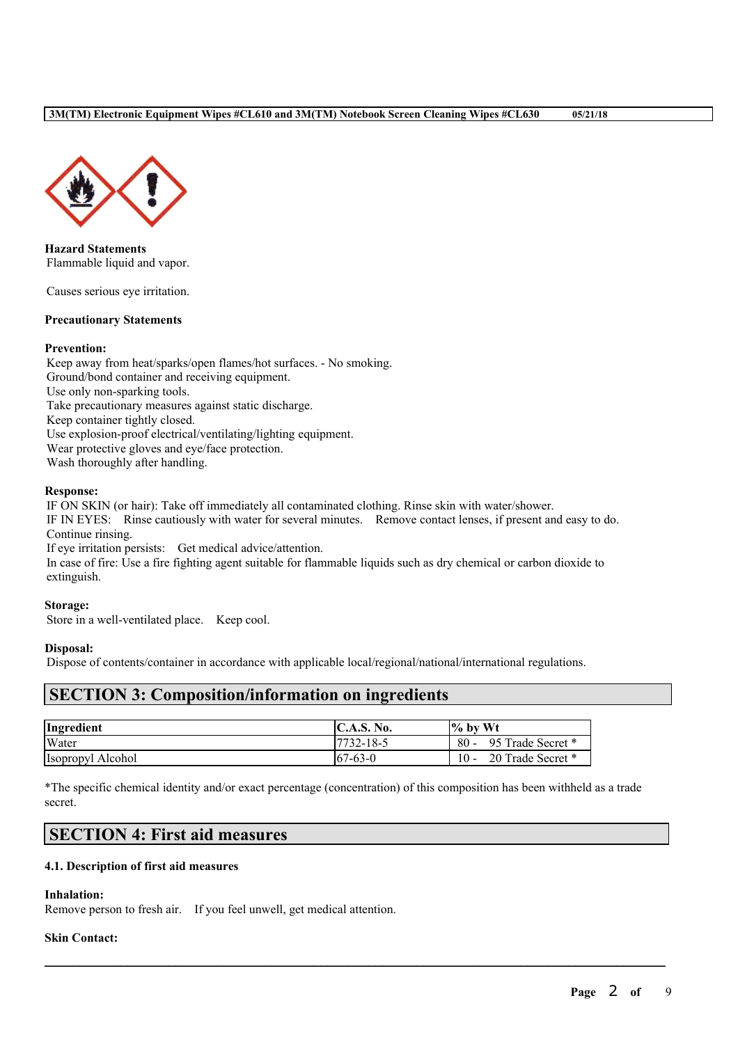

**Hazard Statements** Flammable liquid and vapor.

Causes serious eye irritation.

## **Precautionary Statements**

### **Prevention:**

Keep away from heat/sparks/open flames/hot surfaces. - No smoking. Ground/bond container and receiving equipment. Use only non-sparking tools. Take precautionary measures against static discharge. Keep container tightly closed. Use explosion-proof electrical/ventilating/lighting equipment. Wear protective gloves and eye/face protection. Wash thoroughly after handling.

### **Response:**

IF ON SKIN (or hair): Take off immediately all contaminated clothing. Rinse skin with water/shower.

IF IN EYES: Rinse cautiously with water for several minutes. Remove contact lenses, if present and easy to do. Continue rinsing.

If eye irritation persists: Get medical advice/attention.

In case of fire: Use a fire fighting agent suitable for flammable liquids such as dry chemical or carbon dioxide to extinguish.

### **Storage:**

Store in a well-ventilated place. Keep cool.

### **Disposal:**

Dispose of contents/container in accordance with applicable local/regional/national/international regulations.

## **SECTION 3: Composition/information on ingredients**

| Ingredient        | <b>C.A.S. No.</b> | $\frac{6}{10}$ by Wt        |
|-------------------|-------------------|-----------------------------|
| Water             | 17732-18-5        | $80 -$<br>95 Trade Secret * |
| Isopropyl Alcohol | $167 - 63 - 0$    | 20 Trade Secret *<br>$10 -$ |

\*The specific chemical identity and/or exact percentage (concentration) of this composition has been withheld as a trade secret.

 $\mathcal{L}_\mathcal{L} = \mathcal{L}_\mathcal{L} = \mathcal{L}_\mathcal{L} = \mathcal{L}_\mathcal{L} = \mathcal{L}_\mathcal{L} = \mathcal{L}_\mathcal{L} = \mathcal{L}_\mathcal{L} = \mathcal{L}_\mathcal{L} = \mathcal{L}_\mathcal{L} = \mathcal{L}_\mathcal{L} = \mathcal{L}_\mathcal{L} = \mathcal{L}_\mathcal{L} = \mathcal{L}_\mathcal{L} = \mathcal{L}_\mathcal{L} = \mathcal{L}_\mathcal{L} = \mathcal{L}_\mathcal{L} = \mathcal{L}_\mathcal{L}$ 

# **SECTION 4: First aid measures**

### **4.1. Description of first aid measures**

### **Inhalation:**

Remove person to fresh air. If you feel unwell, get medical attention.

### **Skin Contact:**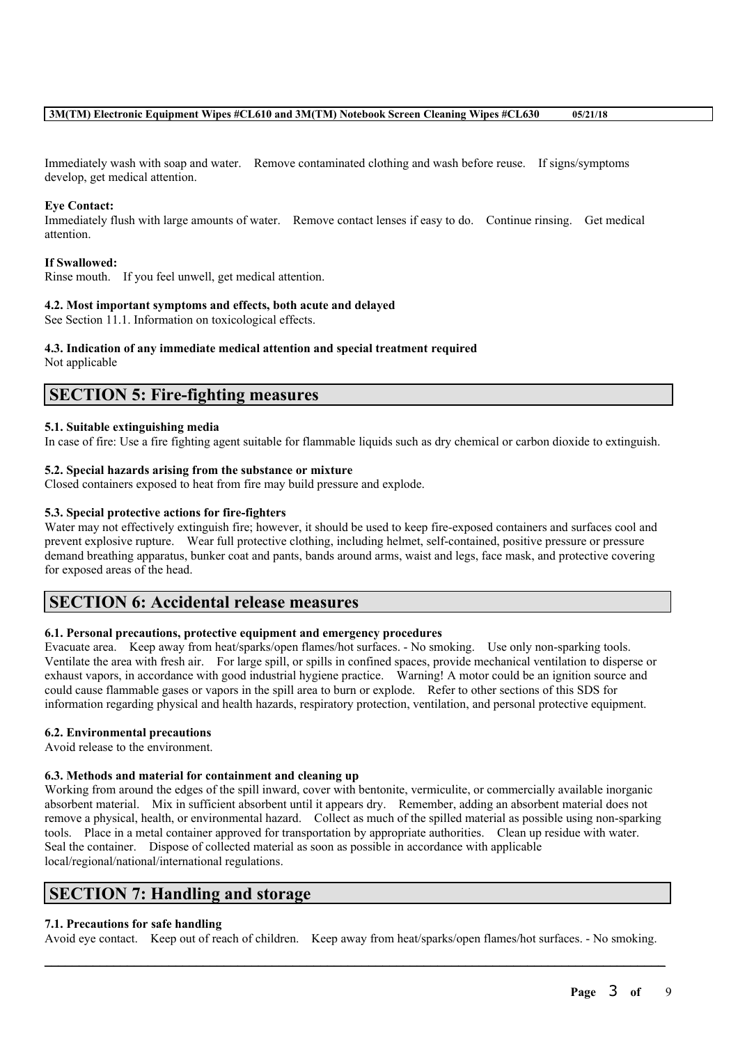Immediately wash with soap and water. Remove contaminated clothing and wash before reuse. If signs/symptoms develop, get medical attention.

## **Eye Contact:**

Immediately flush with large amounts of water. Remove contact lenses if easy to do. Continue rinsing. Get medical attention.

### **If Swallowed:**

Rinse mouth. If you feel unwell, get medical attention.

### **4.2. Most important symptoms and effects, both acute and delayed**

See Section 11.1. Information on toxicological effects.

# **4.3. Indication of any immediate medical attention and special treatment required**

Not applicable

# **SECTION 5: Fire-fighting measures**

### **5.1. Suitable extinguishing media**

In case of fire: Use a fire fighting agent suitable for flammable liquids such as dry chemical or carbon dioxide to extinguish.

## **5.2. Special hazards arising from the substance or mixture**

Closed containers exposed to heat from fire may build pressure and explode.

## **5.3. Special protective actions for fire-fighters**

Water may not effectively extinguish fire; however, it should be used to keep fire-exposed containers and surfaces cool and prevent explosive rupture. Wear full protective clothing, including helmet, self-contained, positive pressure or pressure demand breathing apparatus, bunker coat and pants, bands around arms, waist and legs, face mask, and protective covering for exposed areas of the head.

# **SECTION 6: Accidental release measures**

## **6.1. Personal precautions, protective equipment and emergency procedures**

Evacuate area. Keep away from heat/sparks/open flames/hot surfaces. - No smoking. Use only non-sparking tools. Ventilate the area with fresh air. For large spill, or spills in confined spaces, provide mechanical ventilation to disperse or exhaust vapors, in accordance with good industrial hygiene practice. Warning! A motor could be an ignition source and could cause flammable gases or vapors in the spill area to burn or explode. Refer to other sections of this SDS for information regarding physical and health hazards, respiratory protection, ventilation, and personal protective equipment.

### **6.2. Environmental precautions**

Avoid release to the environment.

### **6.3. Methods and material for containment and cleaning up**

Working from around the edges of the spill inward, cover with bentonite, vermiculite, or commercially available inorganic absorbent material. Mix in sufficient absorbent until it appears dry. Remember, adding an absorbent material does not remove a physical, health, or environmental hazard. Collect as much of the spilled material as possible using non-sparking tools. Place in a metal container approved for transportation by appropriate authorities. Clean up residue with water. Seal the container. Dispose of collected material as soon as possible in accordance with applicable local/regional/national/international regulations.

# **SECTION 7: Handling and storage**

### **7.1. Precautions for safe handling**

 $\mathcal{L}_\mathcal{L} = \mathcal{L}_\mathcal{L} = \mathcal{L}_\mathcal{L} = \mathcal{L}_\mathcal{L} = \mathcal{L}_\mathcal{L} = \mathcal{L}_\mathcal{L} = \mathcal{L}_\mathcal{L} = \mathcal{L}_\mathcal{L} = \mathcal{L}_\mathcal{L} = \mathcal{L}_\mathcal{L} = \mathcal{L}_\mathcal{L} = \mathcal{L}_\mathcal{L} = \mathcal{L}_\mathcal{L} = \mathcal{L}_\mathcal{L} = \mathcal{L}_\mathcal{L} = \mathcal{L}_\mathcal{L} = \mathcal{L}_\mathcal{L}$ Avoid eye contact. Keep out of reach of children. Keep away from heat/sparks/open flames/hot surfaces. - No smoking.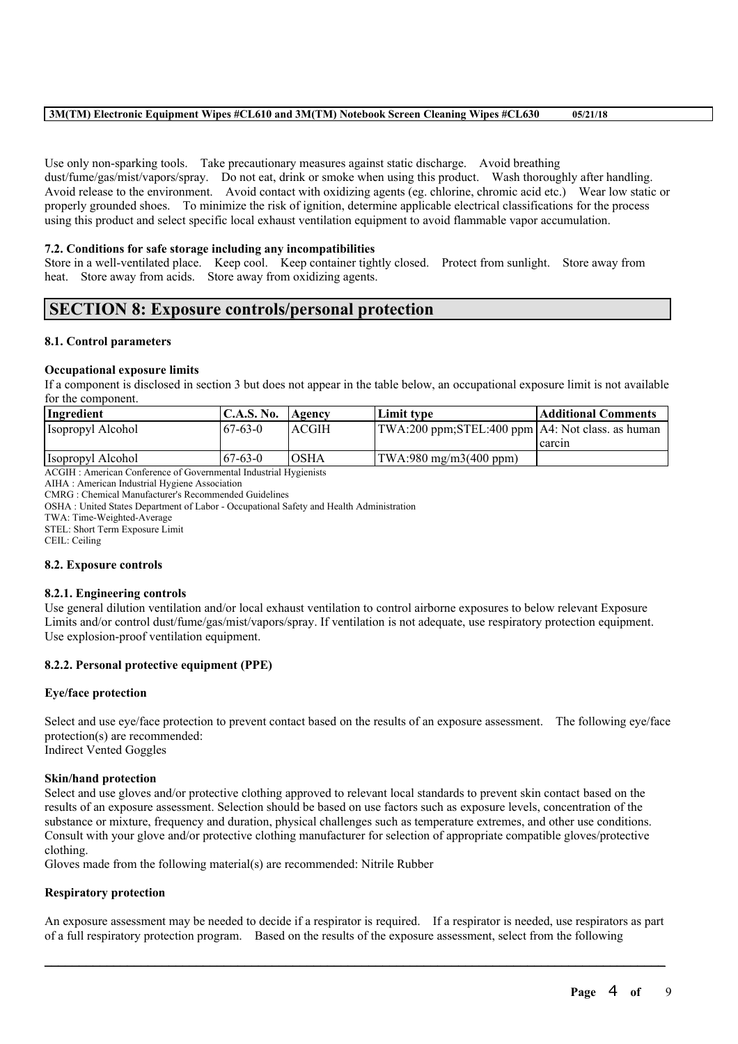### **3M(TM) Electronic Equipment Wipes #CL610 and 3M(TM) Notebook Screen Cleaning Wipes #CL630 05/21/18**

Use only non-sparking tools. Take precautionary measures against static discharge. Avoid breathing dust/fume/gas/mist/vapors/spray. Do not eat, drink or smoke when using this product. Wash thoroughly after handling. Avoid release to the environment. Avoid contact with oxidizing agents (eg. chlorine, chromic acid etc.) Wear low static or properly grounded shoes. To minimize the risk of ignition, determine applicable electrical classifications for the process using this product and select specific local exhaust ventilation equipment to avoid flammable vapor accumulation.

### **7.2. Conditions for safe storage including any incompatibilities**

Store in a well-ventilated place. Keep cool. Keep container tightly closed. Protect from sunlight. Store away from heat. Store away from acids. Store away from oxidizing agents.

# **SECTION 8: Exposure controls/personal protection**

### **8.1. Control parameters**

### **Occupational exposure limits**

If a component is disclosed in section 3 but does not appear in the table below, an occupational exposure limit is not available for the component.

| Ingredient        | $\mathsf{IC.A.S.}\$ No. | Agency       | Limit tvpe                                         | <b>Additional Comments</b> |
|-------------------|-------------------------|--------------|----------------------------------------------------|----------------------------|
| Isopropyl Alcohol | $-67 - 63 - 0$          | <b>ACGIH</b> | TWA:200 ppm;STEL:400 ppm   A4: Not class. as human |                            |
|                   |                         |              |                                                    | carcin                     |
| Isopropyl Alcohol | $67 - 63 - 0$           | <b>OSHA</b>  | $ TWA:980 \text{ mg/m}3(400 \text{ ppm}) $         |                            |

ACGIH : American Conference of Governmental Industrial Hygienists

AIHA : American Industrial Hygiene Association

CMRG : Chemical Manufacturer's Recommended Guidelines

OSHA : United States Department of Labor - Occupational Safety and Health Administration

TWA: Time-Weighted-Average

STEL: Short Term Exposure Limit

CEIL: Ceiling

#### **8.2. Exposure controls**

#### **8.2.1. Engineering controls**

Use general dilution ventilation and/or local exhaust ventilation to control airborne exposures to below relevant Exposure Limits and/or control dust/fume/gas/mist/vapors/spray. If ventilation is not adequate, use respiratory protection equipment. Use explosion-proof ventilation equipment.

### **8.2.2. Personal protective equipment (PPE)**

#### **Eye/face protection**

Select and use eye/face protection to prevent contact based on the results of an exposure assessment. The following eye/face protection(s) are recommended: Indirect Vented Goggles

#### **Skin/hand protection**

Select and use gloves and/or protective clothing approved to relevant local standards to prevent skin contact based on the results of an exposure assessment. Selection should be based on use factors such as exposure levels, concentration of the substance or mixture, frequency and duration, physical challenges such as temperature extremes, and other use conditions. Consult with your glove and/or protective clothing manufacturer for selection of appropriate compatible gloves/protective clothing.

Gloves made from the following material(s) are recommended: Nitrile Rubber

#### **Respiratory protection**

An exposure assessment may be needed to decide if a respirator is required. If a respirator is needed, use respirators as part of a full respiratory protection program. Based on the results of the exposure assessment, select from the following

 $\mathcal{L}_\mathcal{L} = \mathcal{L}_\mathcal{L} = \mathcal{L}_\mathcal{L} = \mathcal{L}_\mathcal{L} = \mathcal{L}_\mathcal{L} = \mathcal{L}_\mathcal{L} = \mathcal{L}_\mathcal{L} = \mathcal{L}_\mathcal{L} = \mathcal{L}_\mathcal{L} = \mathcal{L}_\mathcal{L} = \mathcal{L}_\mathcal{L} = \mathcal{L}_\mathcal{L} = \mathcal{L}_\mathcal{L} = \mathcal{L}_\mathcal{L} = \mathcal{L}_\mathcal{L} = \mathcal{L}_\mathcal{L} = \mathcal{L}_\mathcal{L}$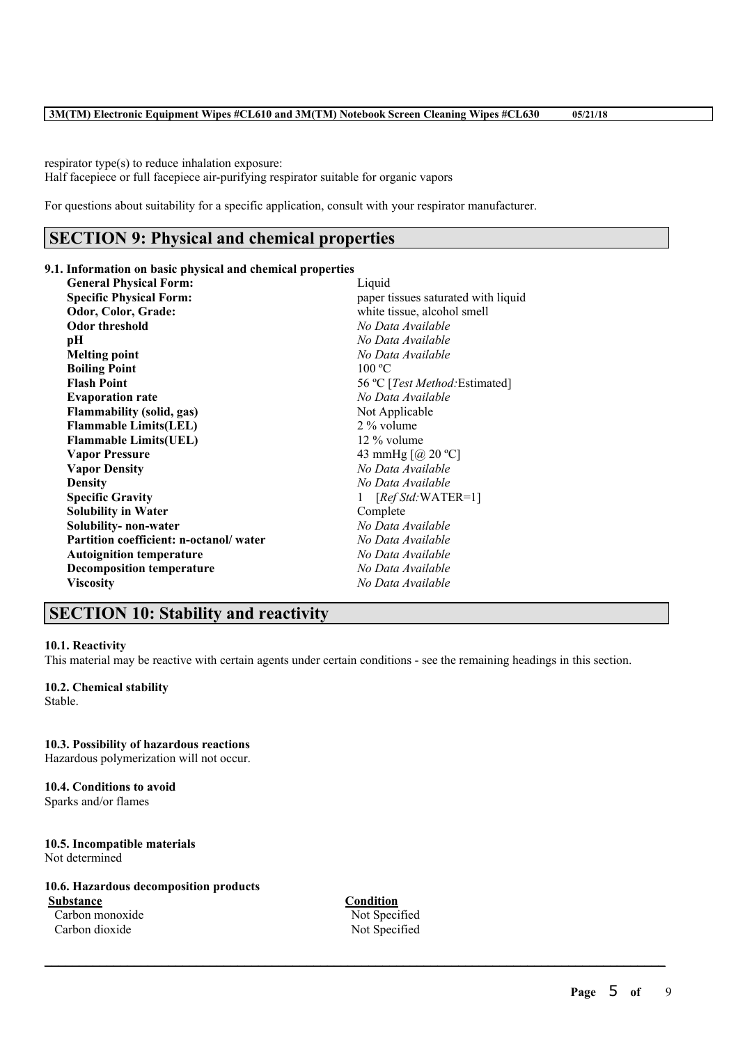respirator type(s) to reduce inhalation exposure: Half facepiece or full facepiece air-purifying respirator suitable for organic vapors

For questions about suitability for a specific application, consult with your respirator manufacturer.

# **SECTION 9: Physical and chemical properties**

## **9.1. Information on basic physical and chemical properties**

**General Physical Form:** Liquid **Specific Physical Form: Form: Physical Form: Physical Physical Form: Physical Form: Physical Physical Form: Physical Physical Physical Physical Physical Physical Physical Physical P Odor, Color, Grade:** white tissue, alcohol smell **Odor threshold** *No Data Available* **pH** *No Data Available* **Melting point** *No Data Available* **Boiling Point** 100 °C **Flash Point** 56 ºC [*Test Method:*Estimated] **Evaporation rate** *No Data Available* **Flammability** (solid, gas) Not Applicable **Flammable Limits(LEL)** 2% volume<br> **Flammable Limits(UEL)** 12% volume **Flammable Limits(UEL) Vapor Pressure** 43 mmHg  $[@ 20 °C]$ **Vapor Density** *No Data Available* **Density** *No Data Available* **Specific Gravity** 1 [*Ref Std:* WATER=1] **Solubility in Water** Complete **Solubility- non-water** *No Data Available* **Partition coefficient: n-octanol/ water** *No Data Available* **Autoignition temperature** *No Data Available* **Decomposition temperature** *No Data Available* **Viscosity** *No Data Available*

# **SECTION 10: Stability and reactivity**

### **10.1. Reactivity**

This material may be reactive with certain agents under certain conditions - see the remaining headings in this section.

# **10.2. Chemical stability**

Stable.

# **10.3. Possibility of hazardous reactions**

Hazardous polymerization will not occur.

## **10.4. Conditions to avoid**

Sparks and/or flames

### **10.5. Incompatible materials** Not determined

## **10.6. Hazardous decomposition products**

**Substance Condition** Carbon monoxide Not Specified Carbon dioxide Not Specified

 $\mathcal{L}_\mathcal{L} = \mathcal{L}_\mathcal{L} = \mathcal{L}_\mathcal{L} = \mathcal{L}_\mathcal{L} = \mathcal{L}_\mathcal{L} = \mathcal{L}_\mathcal{L} = \mathcal{L}_\mathcal{L} = \mathcal{L}_\mathcal{L} = \mathcal{L}_\mathcal{L} = \mathcal{L}_\mathcal{L} = \mathcal{L}_\mathcal{L} = \mathcal{L}_\mathcal{L} = \mathcal{L}_\mathcal{L} = \mathcal{L}_\mathcal{L} = \mathcal{L}_\mathcal{L} = \mathcal{L}_\mathcal{L} = \mathcal{L}_\mathcal{L}$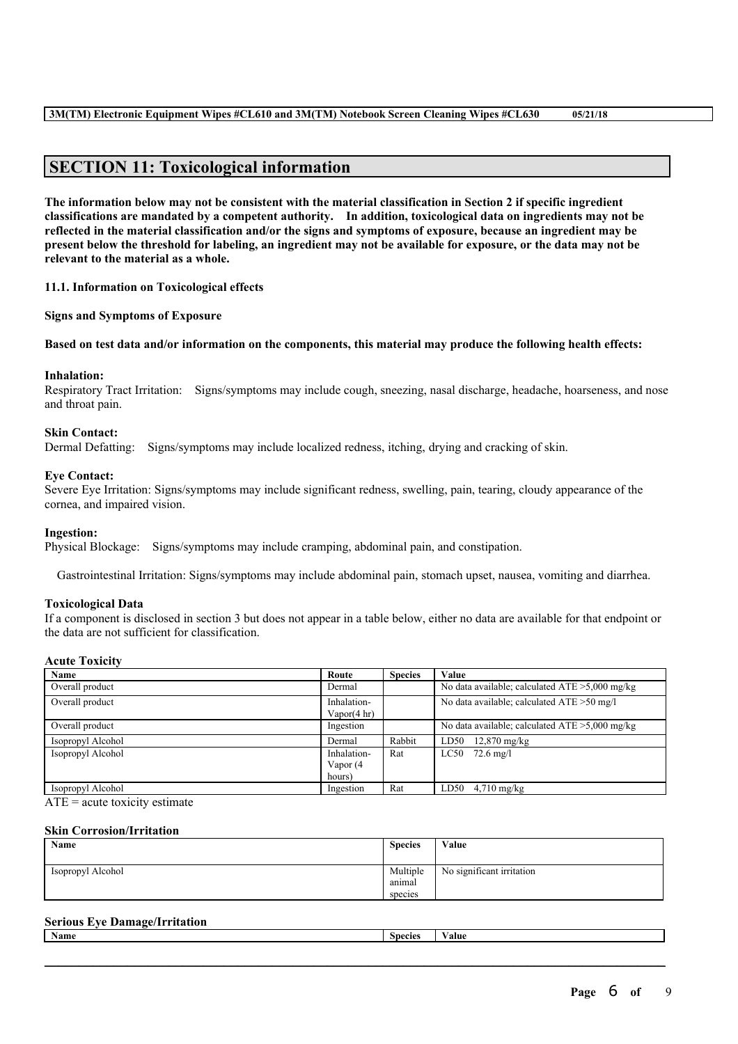# **SECTION 11: Toxicological information**

The information below may not be consistent with the material classification in Section 2 if specific ingredient **classifications are mandated by a competent authority. In addition, toxicological data on ingredients may not be** reflected in the material classification and/or the signs and symptoms of exposure, because an ingredient may be present below the threshold for labeling, an ingredient may not be available for exposure, or the data may not be **relevant to the material as a whole.**

**11.1. Information on Toxicological effects**

**Signs and Symptoms of Exposure**

Based on test data and/or information on the components, this material may produce the following health effects:

#### **Inhalation:**

Respiratory Tract Irritation: Signs/symptoms may include cough, sneezing, nasal discharge, headache, hoarseness, and nose and throat pain.

### **Skin Contact:**

Dermal Defatting: Signs/symptoms may include localized redness, itching, drying and cracking of skin.

#### **Eye Contact:**

Severe Eye Irritation: Signs/symptoms may include significant redness, swelling, pain, tearing, cloudy appearance of the cornea, and impaired vision.

#### **Ingestion:**

Physical Blockage: Signs/symptoms may include cramping, abdominal pain, and constipation.

Gastrointestinal Irritation: Signs/symptoms may include abdominal pain, stomach upset, nausea, vomiting and diarrhea.

#### **Toxicological Data**

If a component is disclosed in section 3 but does not appear in a table below, either no data are available for that endpoint or the data are not sufficient for classification.

### **Acute Toxicity**

| Name              | Route                                 | <b>Species</b> | Value                                             |  |  |
|-------------------|---------------------------------------|----------------|---------------------------------------------------|--|--|
| Overall product   | Dermal                                |                | No data available; calculated $ATE > 5,000$ mg/kg |  |  |
| Overall product   | Inhalation-<br>Vapor $(4 \text{ hr})$ |                | No data available; calculated ATE > 50 mg/l       |  |  |
| Overall product   | Ingestion                             |                | No data available; calculated $ATE > 5,000$ mg/kg |  |  |
| Isopropyl Alcohol | Dermal                                | Rabbit         | LD50<br>$12,870 \text{ mg/kg}$                    |  |  |
| Isopropyl Alcohol | Inhalation-                           | Rat            | $LC50$ 72.6 mg/l                                  |  |  |
|                   | Vapor (4                              |                |                                                   |  |  |
|                   | hours)                                |                |                                                   |  |  |
| Isopropyl Alcohol | Ingestion                             | Rat            | LD50<br>$4.710$ mg/kg                             |  |  |

 $ATE = acute$  toxicity estimate

#### **Skin Corrosion/Irritation**

| Name              | <b>Species</b>     | Value                     |
|-------------------|--------------------|---------------------------|
| Isopropyl Alcohol | Multiple<br>anımal | No significant irritation |
|                   | species            |                           |

## **Serious Eye Damage/Irritation**

| Name | . nooiog | $\sim$ $\sim$<br>aw |
|------|----------|---------------------|
|      |          |                     |
|      |          |                     |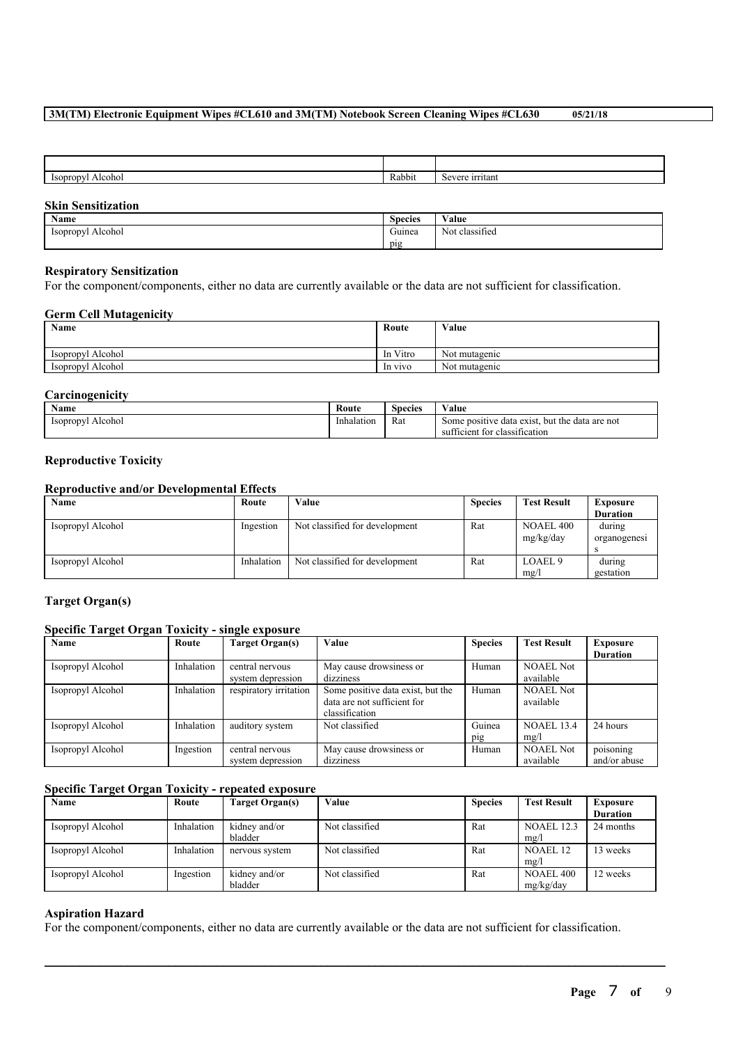### **3M(TM) Electronic Equipment Wipes #CL610 and 3M(TM) Notebook Screen Cleaning Wipes #CL630 05/21/18**

| <b>Isopropy</b><br>Alcohol<br>$-150\mu$ .<br>. . | Rabbit | ırrıtanı<br>0.01704 |
|--------------------------------------------------|--------|---------------------|

### **Skin Sensitization**

| Name                                  | <b>Species</b> | <b>WY 3</b><br>Value     |
|---------------------------------------|----------------|--------------------------|
| <i>sopropy</i><br>√l Alcohol<br>----- | Guinea         | $\sim$<br>Not classified |
|                                       | . .<br>pig     |                          |

### **Respiratory Sensitization**

For the component/components, either no data are currently available or the data are not sufficient for classification.

### **Germ Cell Mutagenicity**

| <b>Name</b>       | Route    | Value         |
|-------------------|----------|---------------|
|                   |          |               |
| Isopropyl Alcohol | In Vitro | Not mutagenic |
| Isopropyl Alcohol | In vivo  | Not mutagenic |

### **Carcinogenicity**

| Name              | Route      | Species | ∕ alue                                              |
|-------------------|------------|---------|-----------------------------------------------------|
| Isopropyl Alcohol | Inhalation | Rat     | . but the data are not<br>Some positive data exist. |
|                   |            |         | tor classification<br>sufficient                    |

### **Reproductive Toxicity**

## **Reproductive and/or Developmental Effects**

| Name              | Route      | Value                          | <b>Species</b> | <b>Test Result</b>        | Exposure               |
|-------------------|------------|--------------------------------|----------------|---------------------------|------------------------|
|                   |            |                                |                |                           | <b>Duration</b>        |
| Isopropyl Alcohol | Ingestion  | Not classified for development | Rat            | NOAEL 400<br>mg/kg/day    | during<br>organogenesi |
| Isopropyl Alcohol | Inhalation | Not classified for development | Rat            | LOAEL <sub>9</sub><br>mg/ | during<br>gestation    |

### **Target Organ(s)**

### **Specific Target Organ Toxicity - single exposure**

| Name              | Route      | Target Organ(s)                      | Value                                                                              | <b>Species</b> | <b>Test Result</b>            | Exposure                  |
|-------------------|------------|--------------------------------------|------------------------------------------------------------------------------------|----------------|-------------------------------|---------------------------|
|                   |            |                                      |                                                                                    |                |                               | <b>Duration</b>           |
| Isopropyl Alcohol | Inhalation | central nervous<br>system depression | May cause drowsiness or<br>dizziness                                               | Human          | <b>NOAEL Not</b><br>available |                           |
| Isopropyl Alcohol | Inhalation | respiratory irritation               | Some positive data exist, but the<br>data are not sufficient for<br>classification | Human          | <b>NOAEL Not</b><br>available |                           |
| Isopropyl Alcohol | Inhalation | auditory system                      | Not classified                                                                     | Guinea<br>pig  | <b>NOAEL 13.4</b><br>mg/l     | 24 hours                  |
| Isopropyl Alcohol | Ingestion  | central nervous<br>system depression | May cause drowsiness or<br>dizziness                                               | Human          | <b>NOAEL Not</b><br>available | poisoning<br>and/or abuse |

### **Specific Target Organ Toxicity - repeated exposure**

| Name              | Route      | Target Organ(s) | Value          | <b>Species</b> | <b>Test Result</b> | <b>Exposure</b> |
|-------------------|------------|-----------------|----------------|----------------|--------------------|-----------------|
|                   |            |                 |                |                |                    | <b>Duration</b> |
| Isopropyl Alcohol | Inhalation | kidney and/or   | Not classified | Rat            | <b>NOAEL 12.3</b>  | 24 months       |
|                   |            | bladder         |                |                | mg/l               |                 |
| Isopropyl Alcohol | Inhalation | nervous system  | Not classified | Rat            | NOAEL 12           | 13 weeks        |
|                   |            |                 |                |                | mg/l               |                 |
| Isopropyl Alcohol | Ingestion  | kidney and/or   | Not classified | Rat            | <b>NOAEL 400</b>   | 12 weeks        |
|                   |            | bladder         |                |                | mg/kg/day          |                 |

### **Aspiration Hazard**

For the component/components, either no data are currently available or the data are not sufficient for classification.

 $\mathcal{L}_\mathcal{L} = \mathcal{L}_\mathcal{L} = \mathcal{L}_\mathcal{L} = \mathcal{L}_\mathcal{L} = \mathcal{L}_\mathcal{L} = \mathcal{L}_\mathcal{L} = \mathcal{L}_\mathcal{L} = \mathcal{L}_\mathcal{L} = \mathcal{L}_\mathcal{L} = \mathcal{L}_\mathcal{L} = \mathcal{L}_\mathcal{L} = \mathcal{L}_\mathcal{L} = \mathcal{L}_\mathcal{L} = \mathcal{L}_\mathcal{L} = \mathcal{L}_\mathcal{L} = \mathcal{L}_\mathcal{L} = \mathcal{L}_\mathcal{L}$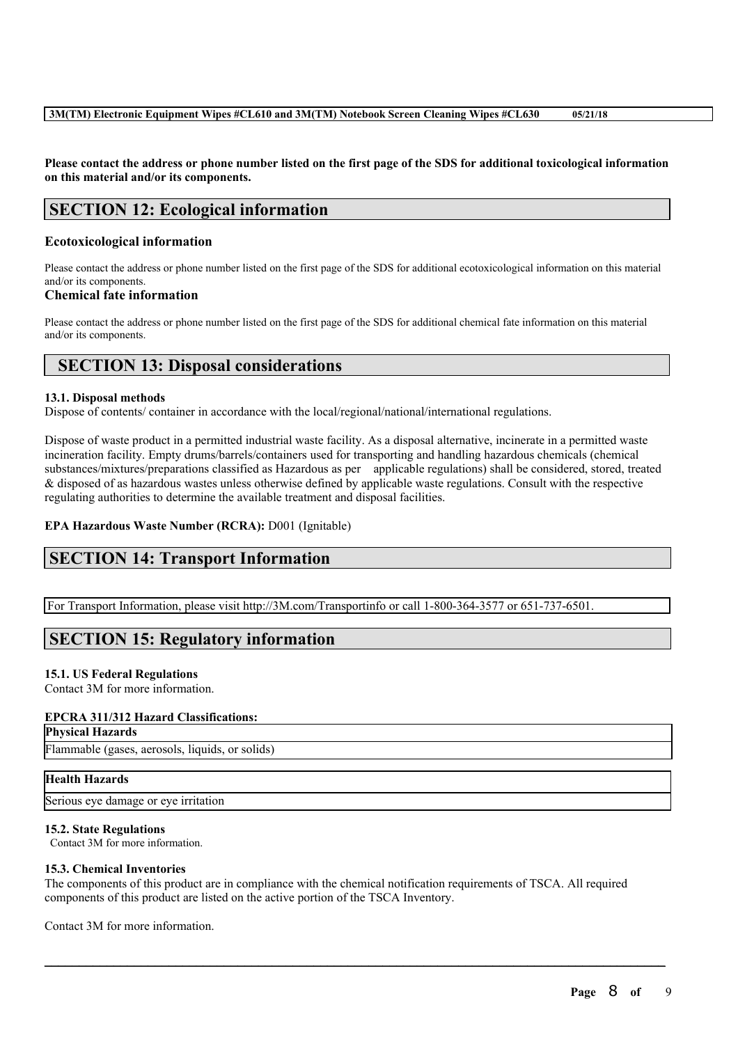Please contact the address or phone number listed on the first page of the SDS for additional toxicological information **on this material and/or its components.**

# **SECTION 12: Ecological information**

## **Ecotoxicological information**

Please contact the address or phone number listed on the first page of the SDS for additional ecotoxicological information on this material and/or its components.

## **Chemical fate information**

Please contact the address or phone number listed on the first page of the SDS for additional chemical fate information on this material and/or its components.

# **SECTION 13: Disposal considerations**

## **13.1. Disposal methods**

Dispose of contents/ container in accordance with the local/regional/national/international regulations.

Dispose of waste product in a permitted industrial waste facility. As a disposal alternative, incinerate in a permitted waste incineration facility. Empty drums/barrels/containers used for transporting and handling hazardous chemicals (chemical substances/mixtures/preparations classified as Hazardous as per applicable regulations) shall be considered, stored, treated & disposed of as hazardous wastes unless otherwise defined by applicable waste regulations. Consult with the respective regulating authorities to determine the available treatment and disposal facilities.

## **EPA Hazardous Waste Number (RCRA):** D001 (Ignitable)

# **SECTION 14: Transport Information**

For Transport Information, please visit http://3M.com/Transportinfo or call 1-800-364-3577 or 651-737-6501.

# **SECTION 15: Regulatory information**

### **15.1. US Federal Regulations**

Contact 3M for more information.

## **EPCRA 311/312 Hazard Classifications:**

**Physical Hazards**

Flammable (gases, aerosols, liquids, or solids)

### **Health Hazards**

Serious eye damage or eye irritation

### **15.2. State Regulations**

Contact 3M for more information.

### **15.3. Chemical Inventories**

The components of this product are in compliance with the chemical notification requirements of TSCA. All required components of this product are listed on the active portion of the TSCA Inventory.

 $\mathcal{L}_\mathcal{L} = \mathcal{L}_\mathcal{L} = \mathcal{L}_\mathcal{L} = \mathcal{L}_\mathcal{L} = \mathcal{L}_\mathcal{L} = \mathcal{L}_\mathcal{L} = \mathcal{L}_\mathcal{L} = \mathcal{L}_\mathcal{L} = \mathcal{L}_\mathcal{L} = \mathcal{L}_\mathcal{L} = \mathcal{L}_\mathcal{L} = \mathcal{L}_\mathcal{L} = \mathcal{L}_\mathcal{L} = \mathcal{L}_\mathcal{L} = \mathcal{L}_\mathcal{L} = \mathcal{L}_\mathcal{L} = \mathcal{L}_\mathcal{L}$ 

Contact 3M for more information.